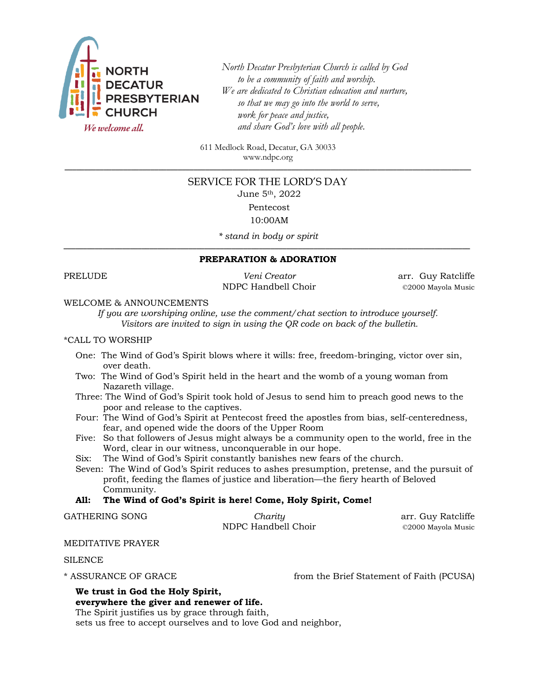

*North Decatur Presbyterian Church is called by God to be a community of faith and worship. We are dedicated to Christian education and nurture, so that we may go into the world to serve, work for peace and justice, and share God's love with all people.*

611 Medlock Road, Decatur, GA 30033 www.ndpc.org **\_\_\_\_\_\_\_\_\_\_\_\_\_\_\_\_\_\_\_\_\_\_\_\_\_\_\_\_\_\_\_\_\_\_\_\_\_\_\_\_\_\_\_\_\_\_\_\_\_\_\_\_\_\_\_\_\_\_\_\_\_\_\_\_\_\_\_\_\_\_\_\_\_\_\_\_\_\_\_\_\_\_\_\_\_\_\_\_\_\_\_\_\_\_\_\_\_\_\_\_\_\_\_\_**

#### SERVICE FOR THE LORD'S DAY

June 5th, 2022

Pentecost

10:00AM

*\* stand in body or spirit* **\_\_\_\_\_\_\_\_\_\_\_\_\_\_\_\_\_\_\_\_\_\_\_\_\_\_\_\_\_\_\_\_\_\_\_\_\_\_\_\_\_\_\_\_\_\_\_\_\_\_\_\_\_\_\_\_\_\_\_\_\_\_\_\_\_\_\_\_\_\_\_\_\_\_\_\_\_\_\_\_\_\_\_\_\_\_\_\_\_\_\_\_\_\_\_\_\_\_\_\_\_\_\_\_**

#### **PREPARATION & ADORATION**

PRELUDE *Veni Creator* arr. Guy Ratcliffe NDPC Handbell Choir ©2000 Mayola Music

#### WELCOME & ANNOUNCEMENTS

*If you are worshiping online, use the comment/chat section to introduce yourself. Visitors are invited to sign in using the QR code on back of the bulletin.*

### \*CALL TO WORSHIP

- One: The Wind of God's Spirit blows where it wills: free, freedom-bringing, victor over sin, over death.
- Two: The Wind of God's Spirit held in the heart and the womb of a young woman from Nazareth village.
- Three: The Wind of God's Spirit took hold of Jesus to send him to preach good news to the poor and release to the captives.
- Four: The Wind of God's Spirit at Pentecost freed the apostles from bias, self-centeredness, fear, and opened wide the doors of the Upper Room
- Five: So that followers of Jesus might always be a community open to the world, free in the Word, clear in our witness, unconquerable in our hope.
- Six: The Wind of God's Spirit constantly banishes new fears of the church.
- Seven: The Wind of God's Spirit reduces to ashes presumption, pretense, and the pursuit of profit, feeding the flames of justice and liberation—the fiery hearth of Beloved Community.

#### **All: The Wind of God's Spirit is here! Come, Holy Spirit, Come!**

| GATHERING SONG | Charitu             | arr. Guy Ratcliffe |
|----------------|---------------------|--------------------|
|                | NDPC Handbell Choir | ©2000 Mayola Music |

#### MEDITATIVE PRAYER

**SILENCE** 

\* ASSURANCE OF GRACE from the Brief Statement of Faith (PCUSA)

**We trust in God the Holy Spirit, everywhere the giver and renewer of life.** The Spirit justifies us by grace through faith,

sets us free to accept ourselves and to love God and neighbor,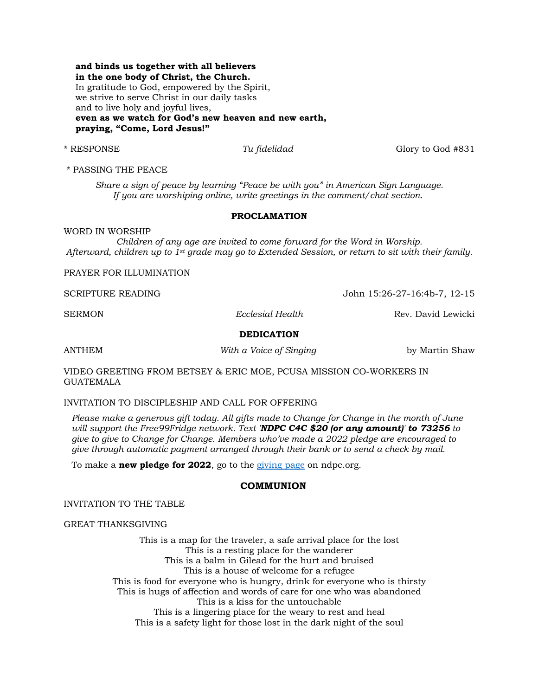**and binds us together with all believers in the one body of Christ, the Church.** In gratitude to God, empowered by the Spirit, we strive to serve Christ in our daily tasks and to live holy and joyful lives, **even as we watch for God's new heaven and new earth, praying, "Come, Lord Jesus!"**

\* RESPONSE *Tu fidelidad* Glory to God #831

\* PASSING THE PEACE

*Share a sign of peace by learning "Peace be with you" in American Sign Language. If you are worshiping online, write greetings in the comment/chat section.*

#### **PROCLAMATION**

WORD IN WORSHIP

*Children of any age are invited to come forward for the Word in Worship. Afterward, children up to 1st grade may go to Extended Session, or return to sit with their family.*

PRAYER FOR ILLUMINATION

SCRIPTURE READING 30 and 35:26-27-16:4b-7, 12-15

**SERMON** *Ecclesial Health* **Rev. David Lewicki** 

#### **DEDICATION**

ANTHEM *With a Voice of Singing* by Martin Shaw

VIDEO GREETING FROM BETSEY & ERIC MOE, PCUSA MISSION CO-WORKERS IN GUATEMALA

INVITATION TO DISCIPLESHIP AND CALL FOR OFFERING

*Please make a generous gift today. All gifts made to Change for Change in the month of June will support the Free99Fridge network. Text 'NDPC C4C \$20 (or any amount)' to 73256 to give to give to Change for Change. Members who've made a 2022 pledge are encouraged to give through automatic payment arranged through their bank or to send a check by mail.* 

To make a **new pledge for 2022**, go to the giving page on ndpc.org.

#### **COMMUNION**

INVITATION TO THE TABLE

#### GREAT THANKSGIVING

This is a map for the traveler, a safe arrival place for the lost This is a resting place for the wanderer This is a balm in Gilead for the hurt and bruised This is a house of welcome for a refugee This is food for everyone who is hungry, drink for everyone who is thirsty This is hugs of affection and words of care for one who was abandoned This is a kiss for the untouchable This is a lingering place for the weary to rest and heal This is a safety light for those lost in the dark night of the soul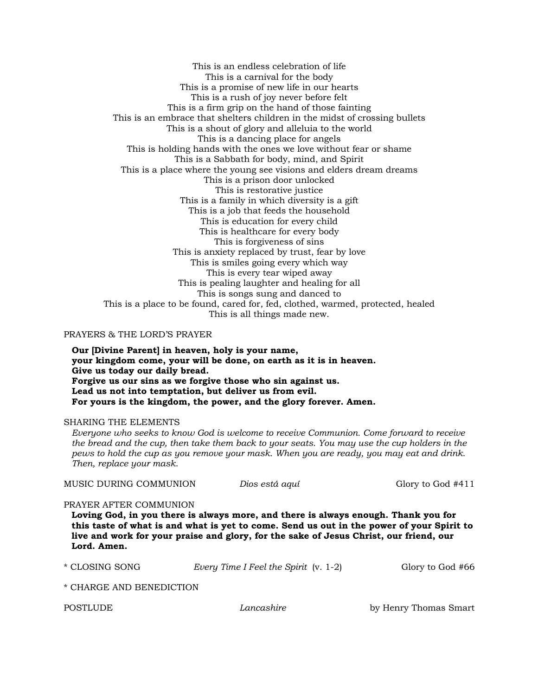This is an endless celebration of life This is a carnival for the body This is a promise of new life in our hearts This is a rush of joy never before felt This is a firm grip on the hand of those fainting This is an embrace that shelters children in the midst of crossing bullets This is a shout of glory and alleluia to the world This is a dancing place for angels This is holding hands with the ones we love without fear or shame This is a Sabbath for body, mind, and Spirit This is a place where the young see visions and elders dream dreams This is a prison door unlocked This is restorative justice This is a family in which diversity is a gift This is a job that feeds the household This is education for every child This is healthcare for every body This is forgiveness of sins This is anxiety replaced by trust, fear by love This is smiles going every which way This is every tear wiped away This is pealing laughter and healing for all This is songs sung and danced to This is a place to be found, cared for, fed, clothed, warmed, protected, healed This is all things made new.

PRAYERS & THE LORD'S PRAYER

**Our [Divine Parent] in heaven, holy is your name, your kingdom come, your will be done, on earth as it is in heaven. Give us today our daily bread. Forgive us our sins as we forgive those who sin against us. Lead us not into temptation, but deliver us from evil. For yours is the kingdom, the power, and the glory forever. Amen.**

#### SHARING THE ELEMENTS

*Everyone who seeks to know God is welcome to receive Communion. Come forward to receive the bread and the cup, then take them back to your seats. You may use the cup holders in the pews to hold the cup as you remove your mask. When you are ready, you may eat and drink. Then, replace your mask.*

MUSIC DURING COMMUNION *Dios está aquí* Glory to God #411 PRAYER AFTER COMMUNION **Loving God, in you there is always more, and there is always enough. Thank you for this taste of what is and what is yet to come. Send us out in the power of your Spirit to live and work for your praise and glory, for the sake of Jesus Christ, our friend, our Lord. Amen.**

| * CLOSING SONG | Every Time I Feel the Spirit (v. 1-2) | Glory to God #66 |
|----------------|---------------------------------------|------------------|
|                |                                       |                  |

\* CHARGE AND BENEDICTION

POSTLUDE *Lancashire* by Henry Thomas Smart